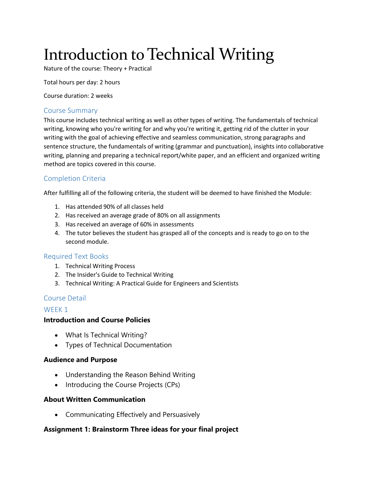# Introduction to Technical Writing

Nature of the course: Theory + Practical

Total hours per day: 2 hours

Course duration: 2 weeks

#### Course Summary

This course includes technical writing as well as other types of writing. The fundamentals of technical writing, knowing who you're writing for and why you're writing it, getting rid of the clutter in your writing with the goal of achieving effective and seamless communication, strong paragraphs and sentence structure, the fundamentals of writing (grammar and punctuation), insights into collaborative writing, planning and preparing a technical report/white paper, and an efficient and organized writing method are topics covered in this course.

# Completion Criteria

After fulfilling all of the following criteria, the student will be deemed to have finished the Module:

- 1. Has attended 90% of all classes held
- 2. Has received an average grade of 80% on all assignments
- 3. Has received an average of 60% in assessments
- 4. The tutor believes the student has grasped all of the concepts and is ready to go on to the second module.

#### Required Text Books

- 1. Technical Writing Process
- 2. The Insider's Guide to Technical Writing
- 3. Technical Writing: A Practical Guide for Engineers and Scientists

## Course Detail

#### WEEK 1

## **Introduction and Course Policies**

- What Is Technical Writing?
- Types of Technical Documentation

## **Audience and Purpose**

- Understanding the Reason Behind Writing
- Introducing the Course Projects (CPs)

#### **About Written Communication**

Communicating Effectively and Persuasively

## **Assignment 1: Brainstorm Three ideas for your final project**